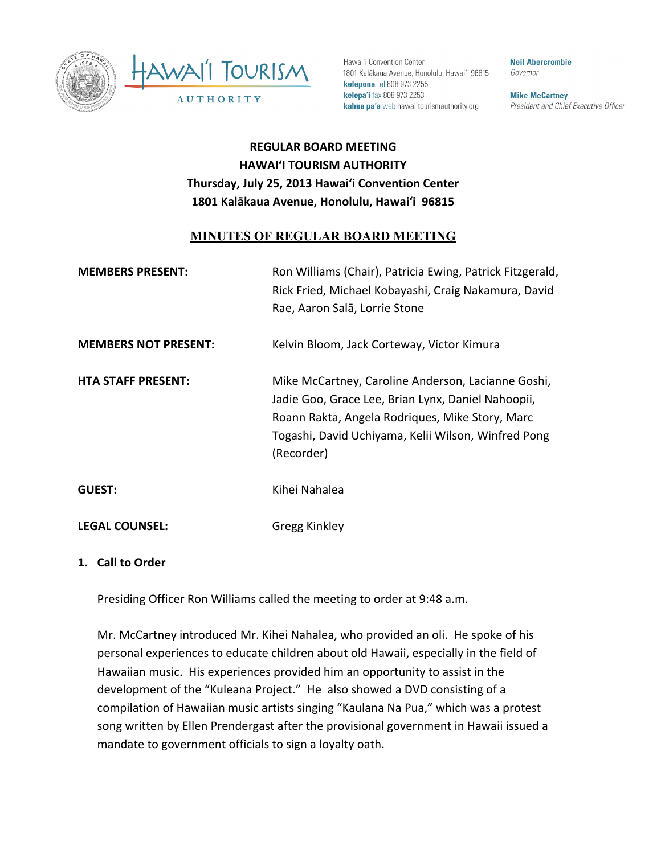



Hawai'i Convention Center 1801 Kalākaua Avenue, Honolulu, Hawai'i 96815 kelepona tel 808 973 2255 kelepa'i fax 808 973 2253 kahua pa'a web hawaiitourismauthority.org

**Neil Abercrombie** Governor

**Mike McCartney** President and Chief Executive Officer

# **REGULAR'BOARD'MEETING HAWAI'I'TOURISM'AUTHORITY** Thursday, July 25, 2013 Hawai'i Convention Center 1801 Kalākaua Avenue, Honolulu, Hawai'i 96815

## **MINUTES OF REGULAR BOARD MEETING**

| <b>MEMBERS PRESENT:</b>     | Ron Williams (Chair), Patricia Ewing, Patrick Fitzgerald,<br>Rick Fried, Michael Kobayashi, Craig Nakamura, David<br>Rae, Aaron Salā, Lorrie Stone                                                                               |
|-----------------------------|----------------------------------------------------------------------------------------------------------------------------------------------------------------------------------------------------------------------------------|
| <b>MEMBERS NOT PRESENT:</b> | Kelvin Bloom, Jack Corteway, Victor Kimura                                                                                                                                                                                       |
| <b>HTA STAFF PRESENT:</b>   | Mike McCartney, Caroline Anderson, Lacianne Goshi,<br>Jadie Goo, Grace Lee, Brian Lynx, Daniel Nahoopii,<br>Roann Rakta, Angela Rodriques, Mike Story, Marc<br>Togashi, David Uchiyama, Kelii Wilson, Winfred Pong<br>(Recorder) |
| <b>GUEST:</b>               | Kihei Nahalea                                                                                                                                                                                                                    |
| <b>LEGAL COUNSEL:</b>       | <b>Gregg Kinkley</b>                                                                                                                                                                                                             |

#### **1. Call'to'Order**

Presiding Officer Ron Williams called the meeting to order at 9:48 a.m.

Mr. McCartney introduced Mr. Kihei Nahalea, who provided an oli. He spoke of his personal experiences to educate children about old Hawaii, especially in the field of Hawaiian music. His experiences provided him an opportunity to assist in the development of the "Kuleana Project." He also showed a DVD consisting of a compilation of Hawaiian music artists singing "Kaulana Na Pua," which was a protest song written by Ellen Prendergast after the provisional government in Hawaii issued a mandate to government officials to sign a loyalty oath.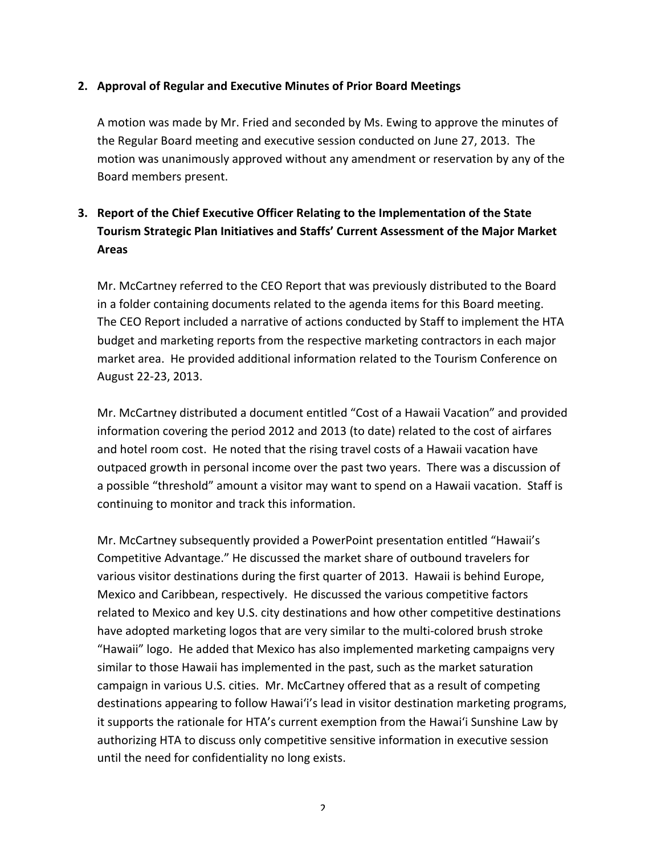#### **2. Approval'of'Regular'and'Executive'Minutes'of'Prior'Board'Meetings**

A motion was made by Mr. Fried and seconded by Ms. Ewing to approve the minutes of the Regular Board meeting and executive session conducted on June 27, 2013. The motion was unanimously approved without any amendment or reservation by any of the Board members present.

# **3.** Report of the Chief Executive Officer Relating to the Implementation of the State Tourism Strategic Plan Initiatives and Staffs' Current Assessment of the Major Market **Areas**

Mr. McCartney referred to the CEO Report that was previously distributed to the Board in a folder containing documents related to the agenda items for this Board meeting. The CEO Report included a narrative of actions conducted by Staff to implement the HTA budget and marketing reports from the respective marketing contractors in each major market area. He provided additional information related to the Tourism Conference on August 22-23, 2013.

Mr. McCartney distributed a document entitled "Cost of a Hawaii Vacation" and provided information covering the period 2012 and 2013 (to date) related to the cost of airfares and hotel room cost. He noted that the rising travel costs of a Hawaii vacation have outpaced growth in personal income over the past two years. There was a discussion of a possible "threshold" amount a visitor may want to spend on a Hawaii vacation. Staff is continuing to monitor and track this information.

Mr. McCartney subsequently provided a PowerPoint presentation entitled "Hawaii's Competitive Advantage." He discussed the market share of outbound travelers for various visitor destinations during the first quarter of 2013. Hawaii is behind Europe, Mexico and Caribbean, respectively. He discussed the various competitive factors related to Mexico and key U.S. city destinations and how other competitive destinations have adopted marketing logos that are very similar to the multi-colored brush stroke "Hawaii" logo. He added that Mexico has also implemented marketing campaigns very similar to those Hawaii has implemented in the past, such as the market saturation campaign in various U.S. cities. Mr. McCartney offered that as a result of competing destinations appearing to follow Hawai'i's lead in visitor destination marketing programs, it supports the rationale for HTA's current exemption from the Hawai'i Sunshine Law by authorizing HTA to discuss only competitive sensitive information in executive session until the need for confidentiality no long exists.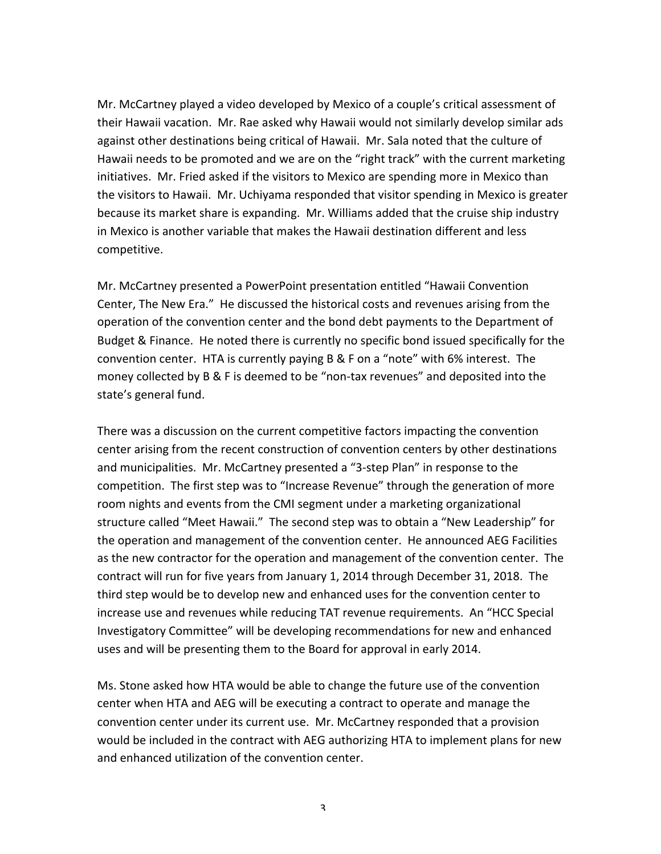Mr. McCartney played a video developed by Mexico of a couple's critical assessment of their Hawaii vacation. Mr. Rae asked why Hawaii would not similarly develop similar ads against other destinations being critical of Hawaii. Mr. Sala noted that the culture of Hawaii needs to be promoted and we are on the "right track" with the current marketing initiatives. Mr. Fried asked if the visitors to Mexico are spending more in Mexico than the visitors to Hawaii. Mr. Uchiyama responded that visitor spending in Mexico is greater because its market share is expanding. Mr. Williams added that the cruise ship industry in Mexico is another variable that makes the Hawaii destination different and less competitive.

Mr. McCartney presented a PowerPoint presentation entitled "Hawaii Convention" Center, The New Era." He discussed the historical costs and revenues arising from the operation of the convention center and the bond debt payments to the Department of Budget & Finance. He noted there is currently no specific bond issued specifically for the convention center. HTA is currently paying  $B & F$  on a "note" with 6% interest. The money collected by B & F is deemed to be "non-tax revenues" and deposited into the state's general fund.

There was a discussion on the current competitive factors impacting the convention center arising from the recent construction of convention centers by other destinations and municipalities. Mr. McCartney presented a "3-step Plan" in response to the competition. The first step was to "Increase Revenue" through the generation of more room nights and events from the CMI segment under a marketing organizational structure called "Meet Hawaii." The second step was to obtain a "New Leadership" for the operation and management of the convention center. He announced AEG Facilities as the new contractor for the operation and management of the convention center. The contract will run for five years from January 1, 2014 through December 31, 2018. The third step would be to develop new and enhanced uses for the convention center to increase use and revenues while reducing TAT revenue requirements. An "HCC Special Investigatory Committee" will be developing recommendations for new and enhanced uses and will be presenting them to the Board for approval in early 2014.

Ms. Stone asked how HTA would be able to change the future use of the convention center when HTA and AEG will be executing a contract to operate and manage the convention center under its current use. Mr. McCartney responded that a provision would be included in the contract with AEG authorizing HTA to implement plans for new and enhanced utilization of the convention center.

3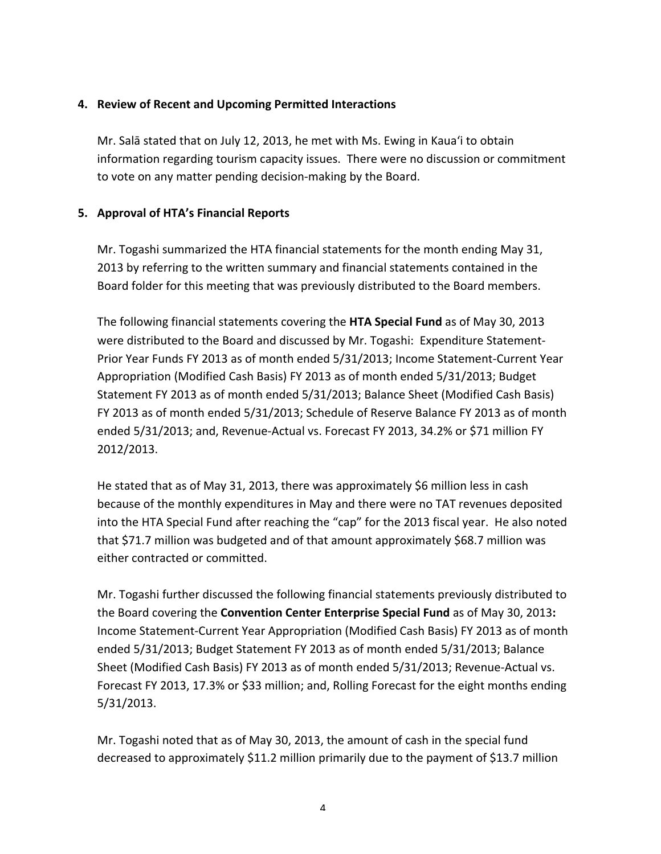### **4. Review'of'Recent'and'Upcoming'Permitted'Interactions**

Mr. Salā stated that on July 12, 2013, he met with Ms. Ewing in Kaua'i to obtain information regarding tourism capacity issues. There were no discussion or commitment to vote on any matter pending decision-making by the Board.

### **5. Approval'of'HTA's'Financial'Reports**

Mr. Togashi summarized the HTA financial statements for the month ending May 31, 2013 by referring to the written summary and financial statements contained in the Board folder for this meeting that was previously distributed to the Board members.

The following financial statements covering the **HTA Special Fund** as of May 30, 2013 were distributed to the Board and discussed by Mr. Togashi: Expenditure Statement-Prior Year Funds FY 2013 as of month ended 5/31/2013; Income Statement-Current Year Appropriation (Modified Cash Basis) FY 2013 as of month ended 5/31/2013; Budget Statement FY 2013 as of month ended 5/31/2013; Balance Sheet (Modified Cash Basis) FY 2013 as of month ended  $5/31/2013$ ; Schedule of Reserve Balance FY 2013 as of month ended 5/31/2013; and, Revenue-Actual vs. Forecast FY 2013, 34.2% or \$71 million FY 2012/2013.

He stated that as of May 31, 2013, there was approximately \$6 million less in cash because of the monthly expenditures in May and there were no TAT revenues deposited into the HTA Special Fund after reaching the "cap" for the 2013 fiscal year. He also noted that \$71.7 million was budgeted and of that amount approximately \$68.7 million was either contracted or committed.

Mr. Togashi further discussed the following financial statements previously distributed to the Board covering the **Convention Center Enterprise Special Fund** as of May 30, 2013: Income Statement-Current Year Appropriation (Modified Cash Basis) FY 2013 as of month ended 5/31/2013; Budget Statement FY 2013 as of month ended 5/31/2013; Balance Sheet (Modified Cash Basis) FY 2013 as of month ended 5/31/2013; Revenue-Actual vs. Forecast FY 2013, 17.3% or \$33 million; and, Rolling Forecast for the eight months ending 5/31/2013.

Mr. Togashi noted that as of May 30, 2013, the amount of cash in the special fund decreased to approximately \$11.2 million primarily due to the payment of \$13.7 million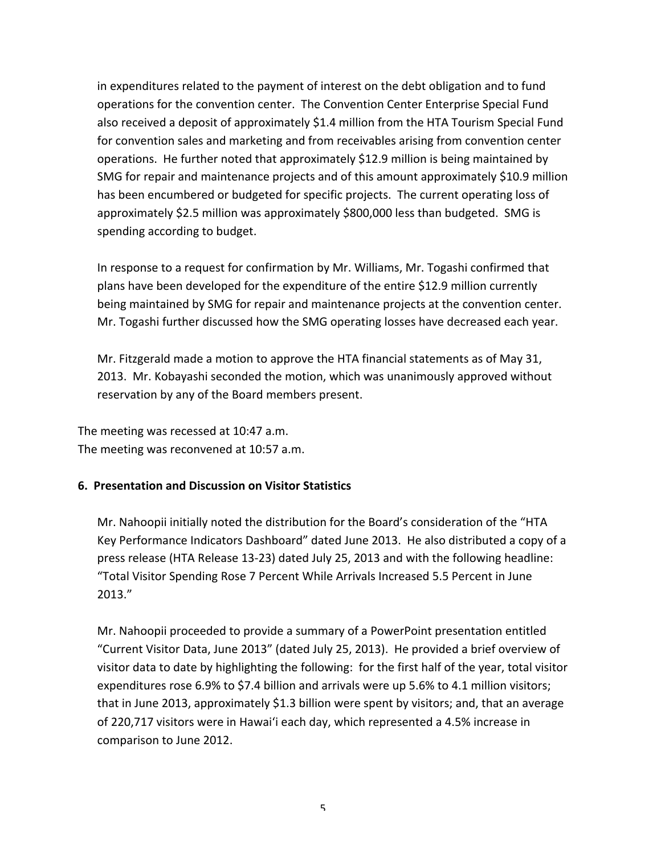in expenditures related to the payment of interest on the debt obligation and to fund operations for the convention center. The Convention Center Enterprise Special Fund also received a deposit of approximately \$1.4 million from the HTA Tourism Special Fund for convention sales and marketing and from receivables arising from convention center operations. He further noted that approximately \$12.9 million is being maintained by SMG for repair and maintenance projects and of this amount approximately \$10.9 million has been encumbered or budgeted for specific projects. The current operating loss of approximately \$2.5 million was approximately \$800,000 less than budgeted. SMG is spending according to budget.

In response to a request for confirmation by Mr. Williams, Mr. Togashi confirmed that plans have been developed for the expenditure of the entire \$12.9 million currently being maintained by SMG for repair and maintenance projects at the convention center. Mr. Togashi further discussed how the SMG operating losses have decreased each year.

Mr. Fitzgerald made a motion to approve the HTA financial statements as of May 31, 2013. Mr. Kobayashi seconded the motion, which was unanimously approved without reservation by any of the Board members present.

The meeting was recessed at 10:47 a.m. The meeting was reconvened at 10:57 a.m.

### **6. Presentation and Discussion on Visitor Statistics**

Mr. Nahoopii initially noted the distribution for the Board's consideration of the "HTA Key Performance Indicators Dashboard" dated June 2013. He also distributed a copy of a press release (HTA Release 13-23) dated July 25, 2013 and with the following headline: "Total Visitor Spending Rose 7 Percent While Arrivals Increased 5.5 Percent in June 2013."

Mr. Nahoopii proceeded to provide a summary of a PowerPoint presentation entitled "Current Visitor Data, June 2013" (dated July 25, 2013). He provided a brief overview of visitor data to date by highlighting the following: for the first half of the year, total visitor expenditures rose 6.9% to \$7.4 billion and arrivals were up  $5.6\%$  to 4.1 million visitors; that in June 2013, approximately \$1.3 billion were spent by visitors; and, that an average of 220,717 visitors were in Hawai'i each day, which represented a 4.5% increase in comparison to June 2012.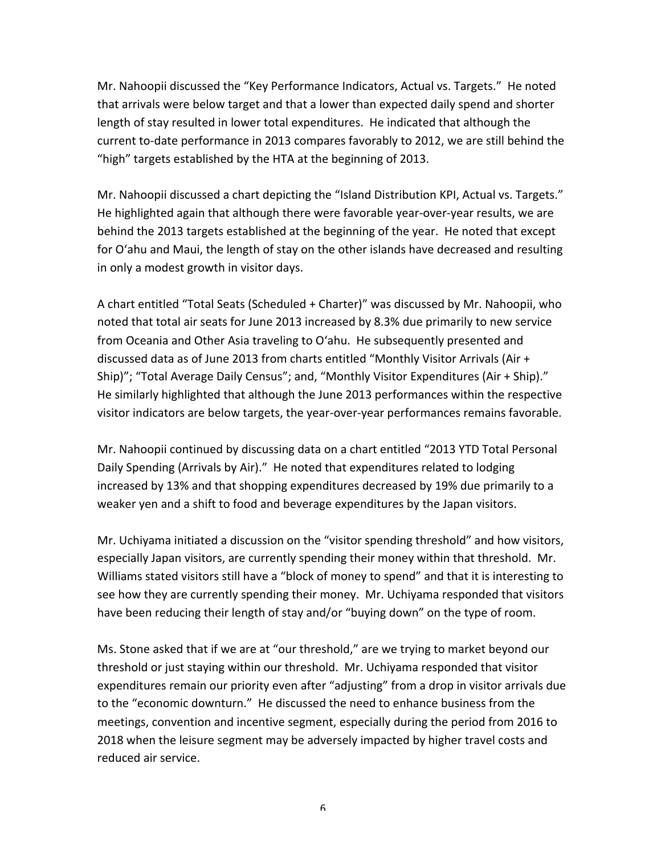Mr. Nahoopii discussed the "Key Performance Indicators, Actual vs. Targets." He noted that arrivals were below target and that a lower than expected daily spend and shorter length of stay resulted in lower total expenditures. He indicated that although the current to-date performance in 2013 compares favorably to 2012, we are still behind the "high" targets established by the HTA at the beginning of 2013.

Mr. Nahoopii discussed a chart depicting the "Island Distribution KPI, Actual vs. Targets." He highlighted again that although there were favorable year-over-year results, we are behind the 2013 targets established at the beginning of the year. He noted that except for O'ahu and Maui, the length of stay on the other islands have decreased and resulting in only a modest growth in visitor days.

A chart entitled "Total Seats (Scheduled + Charter)" was discussed by Mr. Nahoopii, who noted that total air seats for June 2013 increased by 8.3% due primarily to new service from Oceania and Other Asia traveling to O'ahu. He subsequently presented and discussed data as of June 2013 from charts entitled "Monthly Visitor Arrivals (Air + Ship)"; "Total Average Daily Census"; and, "Monthly Visitor Expenditures (Air + Ship)." He similarly highlighted that although the June 2013 performances within the respective visitor indicators are below targets, the year-over-year performances remains favorable.

Mr. Nahoopii continued by discussing data on a chart entitled "2013 YTD Total Personal Daily Spending (Arrivals by Air)." He noted that expenditures related to lodging increased by 13% and that shopping expenditures decreased by 19% due primarily to a weaker yen and a shift to food and beverage expenditures by the Japan visitors.

Mr. Uchiyama initiated a discussion on the "visitor spending threshold" and how visitors, especially Japan visitors, are currently spending their money within that threshold. Mr. Williams stated visitors still have a "block of money to spend" and that it is interesting to see how they are currently spending their money. Mr. Uchiyama responded that visitors have been reducing their length of stay and/or "buying down" on the type of room.

Ms. Stone asked that if we are at "our threshold," are we trying to market beyond our threshold or just staying within our threshold. Mr. Uchiyama responded that visitor expenditures remain our priority even after "adjusting" from a drop in visitor arrivals due to the "economic downturn." He discussed the need to enhance business from the meetings, convention and incentive segment, especially during the period from 2016 to 2018 when the leisure segment may be adversely impacted by higher travel costs and reduced air service.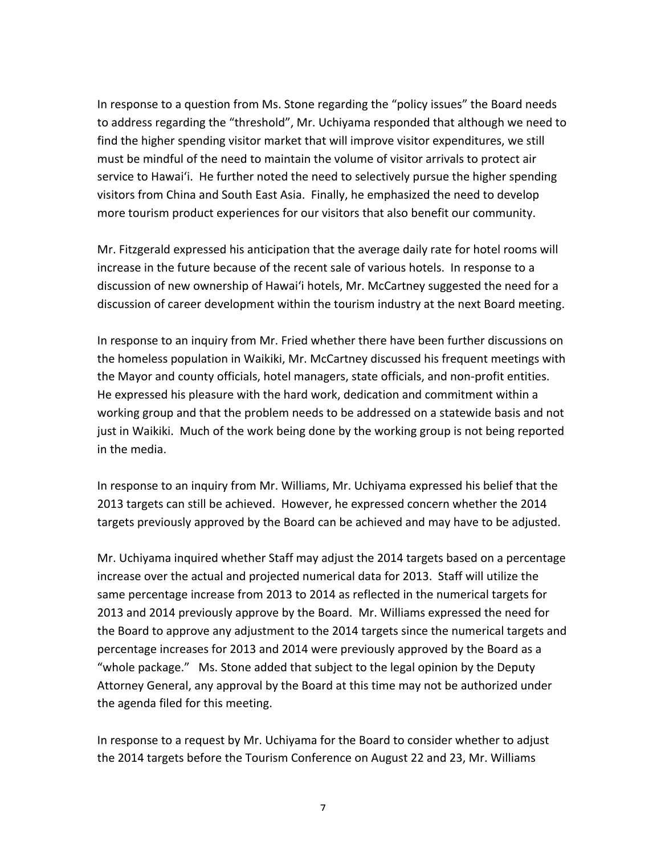In response to a question from Ms. Stone regarding the "policy issues" the Board needs to address regarding the "threshold", Mr. Uchiyama responded that although we need to find the higher spending visitor market that will improve visitor expenditures, we still must be mindful of the need to maintain the volume of visitor arrivals to protect air service to Hawai'i. He further noted the need to selectively pursue the higher spending visitors from China and South East Asia. Finally, he emphasized the need to develop more tourism product experiences for our visitors that also benefit our community.

Mr. Fitzgerald expressed his anticipation that the average daily rate for hotel rooms will increase in the future because of the recent sale of various hotels. In response to a discussion of new ownership of Hawai'i hotels, Mr. McCartney suggested the need for a discussion of career development within the tourism industry at the next Board meeting.

In response to an inquiry from Mr. Fried whether there have been further discussions on the homeless population in Waikiki, Mr. McCartney discussed his frequent meetings with the Mayor and county officials, hotel managers, state officials, and non-profit entities. He expressed his pleasure with the hard work, dedication and commitment within a working group and that the problem needs to be addressed on a statewide basis and not just in Waikiki. Much of the work being done by the working group is not being reported in the media.

In response to an inquiry from Mr. Williams, Mr. Uchiyama expressed his belief that the 2013 targets can still be achieved. However, he expressed concern whether the 2014 targets previously approved by the Board can be achieved and may have to be adjusted.

Mr. Uchiyama inquired whether Staff may adjust the 2014 targets based on a percentage increase over the actual and projected numerical data for 2013. Staff will utilize the same percentage increase from 2013 to 2014 as reflected in the numerical targets for 2013 and 2014 previously approve by the Board. Mr. Williams expressed the need for the Board to approve any adjustment to the 2014 targets since the numerical targets and percentage increases for 2013 and 2014 were previously approved by the Board as a "whole package." Ms. Stone added that subject to the legal opinion by the Deputy Attorney General, any approval by the Board at this time may not be authorized under the agenda filed for this meeting.

In response to a request by Mr. Uchiyama for the Board to consider whether to adjust the 2014 targets before the Tourism Conference on August 22 and 23, Mr. Williams